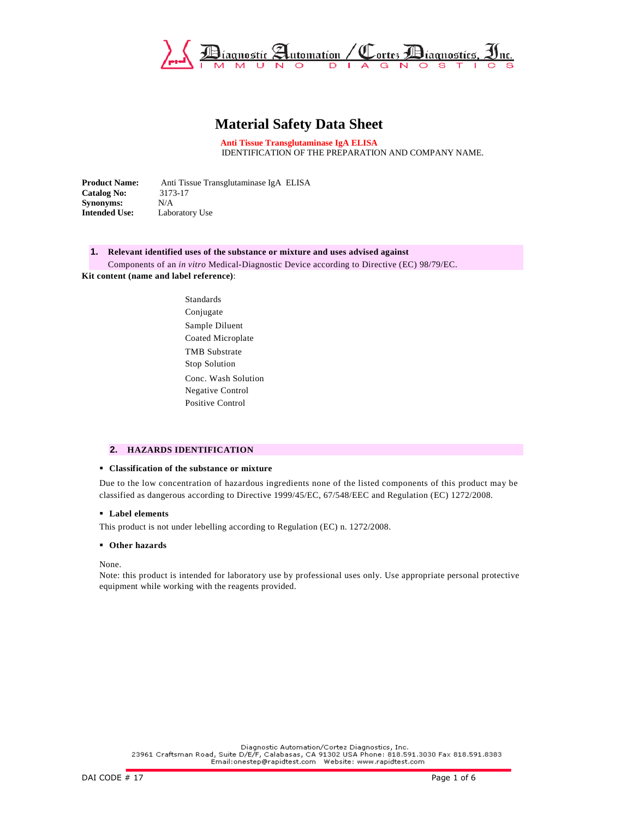

# **Material Safety Data Sheet**

**Anti Tissue Transglutaminase IgA ELISA** IDENTIFICATION OF THE PREPARATION AND COMPANY NAME.

**Product Name:** Anti Tissue Transglutaminase IgA ELISA **Catalog No:** 3173-17<br>**Synonyms:** N/A **Synonyms:**<br>Intended Use: Laboratory Use

# **1. Relevant identified uses of the substance or mixture and uses advised against**

Components of an *in vitro* Medical-Diagnostic Device according to Directive (EC) 98/79/EC. **Kit content (name and label reference)**:

> Standards Conjugate Sample Diluent Coated Microplate TMB Substrate Stop Solution Conc. Wash Solution Negative Control Positive Control

#### **2. HAZARDS IDENTIFICATION**

#### **Classification of the substance or mixture**

Due to the low concentration of hazardous ingredients none of the listed components of this product may be classified as dangerous according to Directive 1999/45/EC, 67/548/EEC and Regulation (EC) 1272/2008.

## **Label elements**

This product is not under lebelling according to Regulation (EC) n. 1272/2008.

#### **Other hazards**

None.

Note: this product is intended for laboratory use by professional uses only. Use appropriate personal protective equipment while working with the reagents provided.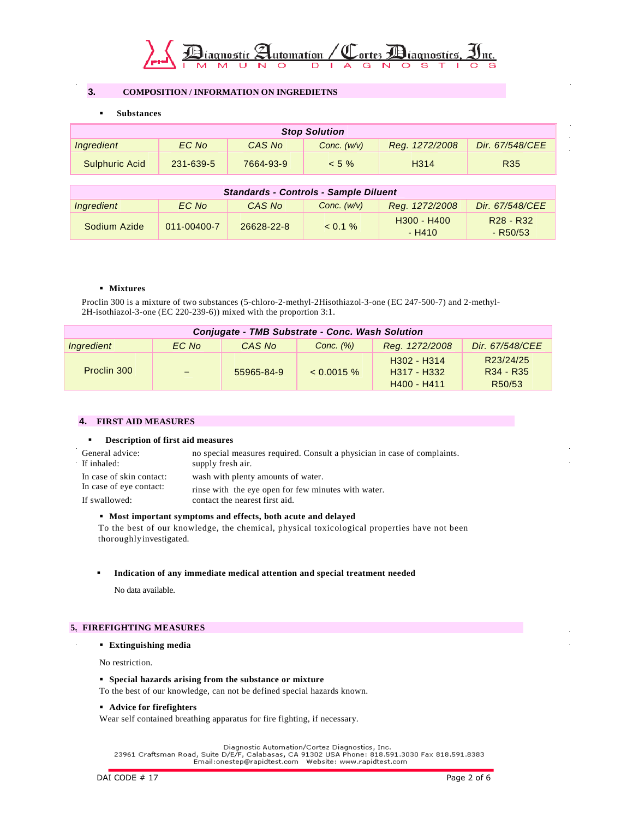

# **3. COMPOSITION / INFORMATION ON INGREDIETNS**

**Substances**

| <b>Stop Solution</b>  |           |           |               |                   |                 |
|-----------------------|-----------|-----------|---------------|-------------------|-----------------|
| Ingredient            | EC No     | CAS No    | Conc. $(w/v)$ | Reg. 1272/2008    | Dir. 67/548/CEE |
| <b>Sulphuric Acid</b> | 231-639-5 | 7664-93-9 | $< 5 \%$      | H <sub>3</sub> 14 | <b>R35</b>      |

| <b>Standards - Controls - Sample Diluent</b> |             |            |               |                                                 |                                                 |
|----------------------------------------------|-------------|------------|---------------|-------------------------------------------------|-------------------------------------------------|
| Ingredient                                   | EC No       | CAS No     | Conc. $(w/v)$ | Reg. 1272/2008                                  | Dir. 67/548/CEE                                 |
| Sodium Azide                                 | 011-00400-7 | 26628-22-8 | $< 0.1 \%$    | H <sub>300</sub> - H <sub>400</sub><br>$- H410$ | R <sub>28</sub> - R <sub>32</sub><br>$-$ R50/53 |

## **Mixtures**

Proclin 300 is a mixture of two substances (5-chloro-2-methyl-2Hisothiazol-3-one (EC 247-500-7) and 2-methyl-2H-isothiazol-3-one (EC 220-239-6)) mixed with the proportion 3:1.

| Conjugate - TMB Substrate - Conc. Wash Solution |       |            |               |                                                                     |                                                                       |
|-------------------------------------------------|-------|------------|---------------|---------------------------------------------------------------------|-----------------------------------------------------------------------|
| Ingredient                                      | EC No | CAS No     | Conc. $(\%)$  | Reg. 1272/2008                                                      | Dir. 67/548/CEE                                                       |
| Proclin 300                                     |       | 55965-84-9 | $< 0.0015 \%$ | H <sub>302</sub> - H <sub>314</sub><br>H317 - H332<br>$H400 - H411$ | R23/24/25<br>R <sub>34</sub> - R <sub>35</sub><br>R <sub>50</sub> /53 |

# **4. FIRST AID MEASURES**

## **Description of first aid measures**

| General advice:<br>If inhaled: | no special measures required. Consult a physician in case of complaints.<br>supply fresh air. |
|--------------------------------|-----------------------------------------------------------------------------------------------|
| In case of skin contact:       | wash with plenty amounts of water.                                                            |
| In case of eye contact:        | rinse with the eye open for few minutes with water.                                           |
| If swallowed:                  | contact the nearest first aid.                                                                |

## **Most important symptoms and effects, both acute and delayed**

 To the best of our knowledge, the chemical, physical toxicological properties have not been thoroughly investigated.

# **Indication of any immediate medical attention and special treatment needed**

No data available.

# **5. FIREFIGHTING MEASURES**

## **Extinguishing media**

No restriction.

## **Special hazards arising from the substance or mixture**

To the best of our knowledge, can not be defined special hazards known.

## **Advice for firefighters**

Wear self contained breathing apparatus for fire fighting, if necessary.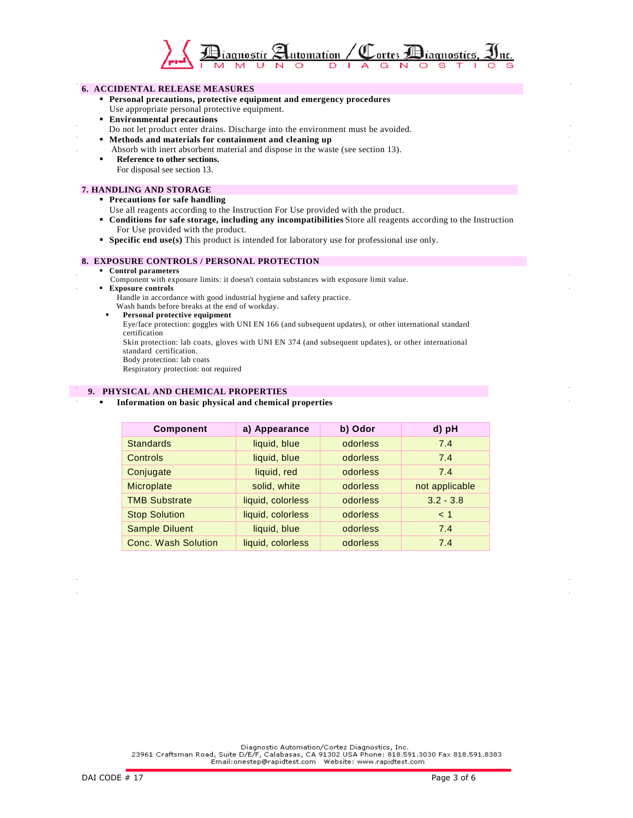

# **6. ACCIDENTAL RELEASE MEASURES**

- **Personal precautions, protective equipment and emergency procedures**
- Use appropriate personal protective equipment.
- **Environmental precautions**
- Do not let product enter drains. Discharge into the environment must be avoided.
- **Methods and materials for containment and cleaning up**
- Absorb with inert absorbent material and dispose in the waste (see section 13).
- **Reference to other sections.** For disposal see section 13.

#### **7. HANDLING AND STORAGE**

- **Precautions for safe handling** 
	- Use all reagents according to the Instruction For Use provided with the product.
- **Conditions for safe storage, including any incompatibilities** Store all reagents according to the Instruction For Use provided with the product.
- **Specific end use(s)** This product is intended for laboratory use for professional use only.

## **8. EXPOSURE CONTROLS / PERSONAL PROTECTION**

- **Control parameters**
- Component with exposure limits: it doesn't contain substances with exposure limit value.
- **Exposure controls** 
	- Handle in accordance with good industrial hygiene and safety practice.
	- Wash hands before breaks at the end of workday.
	- **Personal protective equipment**

 Eye/face protection: goggles with UNI EN 166 (and subsequent updates), or other international standard certification

Skin protection: lab coats, gloves with UNI EN 374 (and subsequent updates), or other international standard certification.

Body protection: lab coats

Respiratory protection: not required

# **9. PHYSICAL AND CHEMICAL PROPERTIES**

#### **Information on basic physical and chemical properties**

| <b>Component</b>           | a) Appearance     | b) Odor  | d) pH          |
|----------------------------|-------------------|----------|----------------|
| <b>Standards</b>           | liquid, blue      | odorless | 7.4            |
| Controls                   | liquid, blue      | odorless | 7.4            |
| Conjugate                  | liquid, red       | odorless | 7.4            |
| Microplate                 | solid, white      | odorless | not applicable |
| <b>TMB Substrate</b>       | liquid, colorless | odorless | $3.2 - 3.8$    |
| <b>Stop Solution</b>       | liquid, colorless | odorless | $\leq 1$       |
| <b>Sample Diluent</b>      | liquid, blue      | odorless | 7.4            |
| <b>Conc. Wash Solution</b> | liquid, colorless | odorless | 7.4            |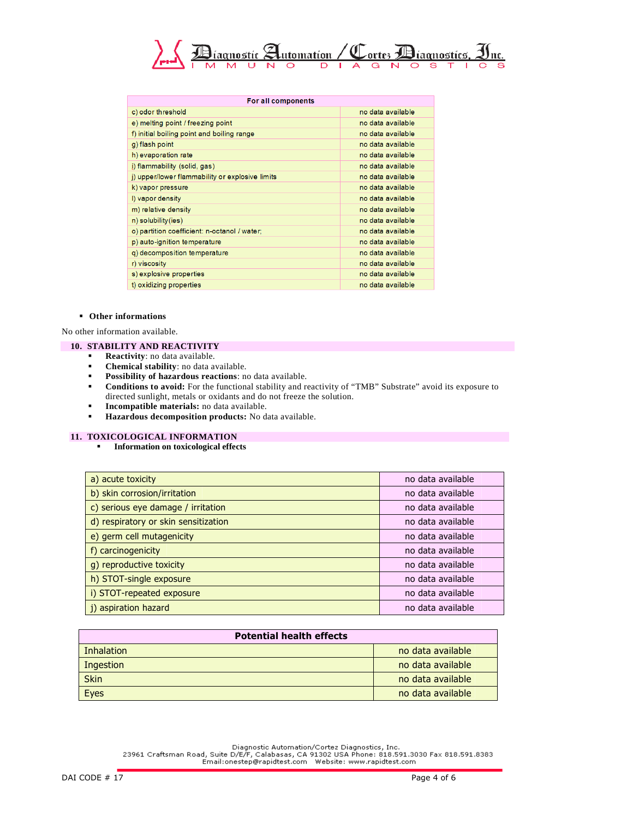

| For all components                              |                   |  |
|-------------------------------------------------|-------------------|--|
| c) odor threshold                               | no data available |  |
| e) melting point / freezing point               | no data available |  |
| f) initial boiling point and boiling range      | no data available |  |
| g) flash point                                  | no data available |  |
| h) evaporation rate                             | no data available |  |
| i) flammability (solid, gas)                    | no data available |  |
| i) upper/lower flammability or explosive limits | no data available |  |
| k) vapor pressure                               | no data available |  |
| I) vapor density                                | no data available |  |
| m) relative density                             | no data available |  |
| n) solubility (ies)                             | no data available |  |
| o) partition coefficient: n-octanol / water;    | no data available |  |
| p) auto-ignition temperature                    | no data available |  |
| q) decomposition temperature                    | no data available |  |
| r) viscosity                                    | no data available |  |
| s) explosive properties                         | no data available |  |
| t) oxidizing properties                         | no data available |  |
|                                                 |                   |  |

#### **Other informations**

No other information available.

## **10. STABILITY AND REACTIVITY**

- **Reactivity**: no data available.<br> **Reactivity:** no data available.
- **Chemical stability**: no data available.
- **Possibility of hazardous reactions**: no data available.
- **Conditions to avoid:** For the functional stability and reactivity of "TMB" Substrate" avoid its exposure to directed sunlight, metals or oxidants and do not freeze the solution.
- **Incompatible materials:** no data available.
- **Hazardous decomposition products:** No data available.

### **11. TOXICOLOGICAL INFORMATION**

**Information on toxicological effects** 

| a) acute toxicity                    | no data available |
|--------------------------------------|-------------------|
| b) skin corrosion/irritation         | no data available |
| c) serious eye damage / irritation   | no data available |
| d) respiratory or skin sensitization | no data available |
| e) germ cell mutagenicity            | no data available |
| f) carcinogenicity                   | no data available |
| g) reproductive toxicity             | no data available |
| h) STOT-single exposure              | no data available |
| i) STOT-repeated exposure            | no data available |
| j) aspiration hazard                 | no data available |

| <b>Potential health effects</b> |                   |  |
|---------------------------------|-------------------|--|
| Inhalation                      | no data available |  |
| Ingestion                       | no data available |  |
| <b>Skin</b>                     | no data available |  |
| <b>Eyes</b>                     | no data available |  |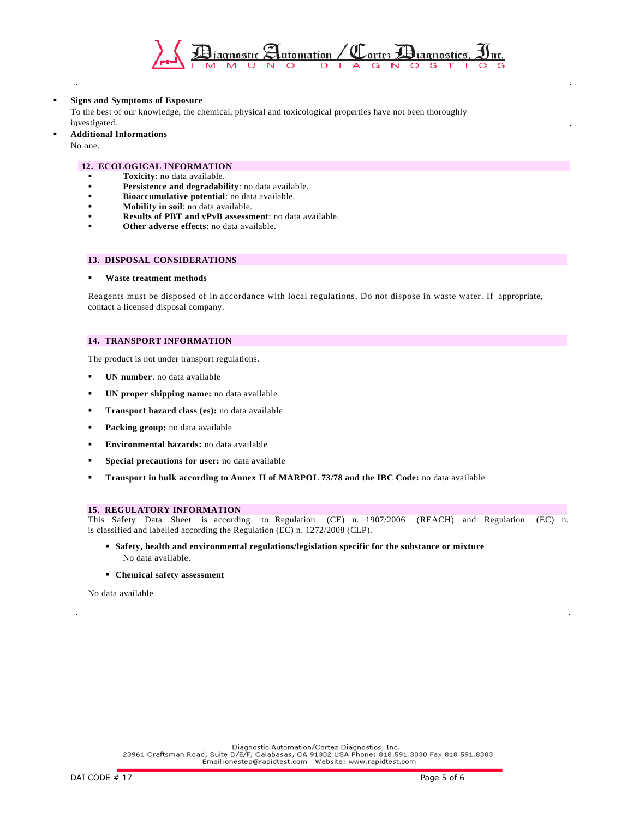

## **Signs and Symptoms of Exposure**

To the best of our knowledge, the chemical, physical and toxicological properties have not been thoroughly investigated.

#### **Additional Informations**

No one.

#### **12. ECOLOGICAL INFORMATION**

- **Toxicity**: no data available.<br>**Persistance and degradability**
- **Persistence and degradability**: no data available.
- **Bioaccumulative potential**: no data available.
- **Mobility in soil**: no data available.
- **Results of PBT and vPvB assessment**: no data available.
- **Other adverse effects**: no data available.

# **13. DISPOSAL CONSIDERATIONS**

## **Waste treatment methods**

Reagents must be disposed of in accordance with local regulations. Do not dispose in waste water. If appropriate, contact a licensed disposal company.

## **14. TRANSPORT INFORMATION**

The product is not under transport regulations.

- **UN number**: no data available
- **UN proper shipping name:** no data available
- **Transport hazard class (es):** no data available
- **Packing group:** no data available
- **Environmental hazards:** no data available
- **Special precautions for user:** no data available
- **Transport in bulk according to Annex II of MARPOL 73/78 and the IBC Code:** no data available

#### **15. REGULATORY INFORMATION**

This Safety Data Sheet is according to Regulation (CE) n. 1907/2006 (REACH) and Regulation (EC) n. is classified and labelled according the Regulation (EC) n. 1272/2008 (CLP).

- **Safety, health and environmental regulations/legislation specific for the substance or mixture**  No data available.
- **Chemical safety assessment**

No data available